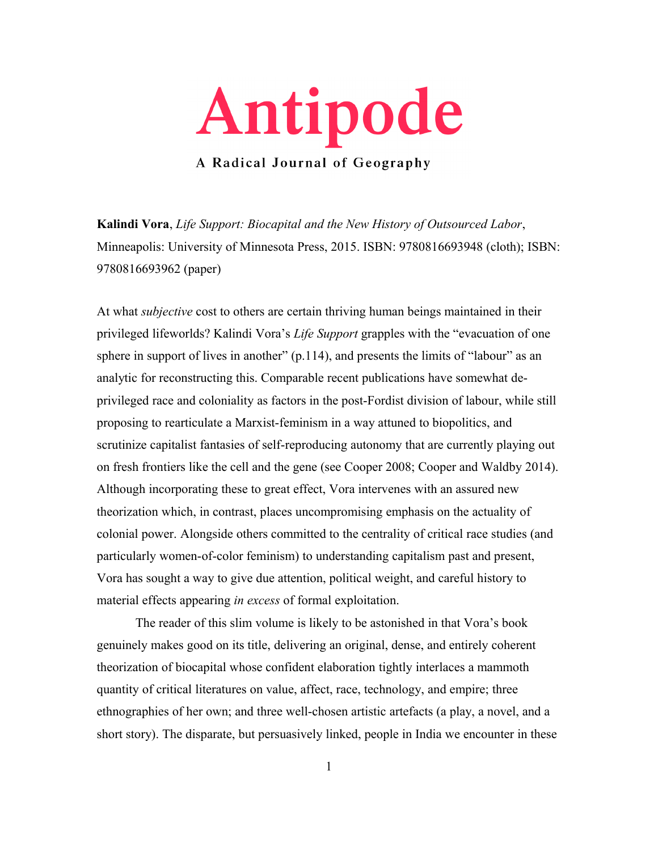

**Kalindi Vora**, *Life Support: Biocapital and the New History of Outsourced Labor*, Minneapolis: University of Minnesota Press, 2015. ISBN: 9780816693948 (cloth); ISBN: 9780816693962 (paper)

At what *subjective* cost to others are certain thriving human beings maintained in their privileged lifeworlds? Kalindi Vora's *Life Support* grapples with the "evacuation of one sphere in support of lives in another" (p.114), and presents the limits of "labour" as an analytic for reconstructing this. Comparable recent publications have somewhat deprivileged race and coloniality as factors in the post-Fordist division of labour, while still proposing to rearticulate a Marxist-feminism in a way attuned to biopolitics, and scrutinize capitalist fantasies of self-reproducing autonomy that are currently playing out on fresh frontiers like the cell and the gene (see Cooper 2008; Cooper and Waldby 2014). Although incorporating these to great effect, Vora intervenes with an assured new theorization which, in contrast, places uncompromising emphasis on the actuality of colonial power. Alongside others committed to the centrality of critical race studies (and particularly women-of-color feminism) to understanding capitalism past and present, Vora has sought a way to give due attention, political weight, and careful history to material effects appearing *in excess* of formal exploitation.

The reader of this slim volume is likely to be astonished in that Vora's book genuinely makes good on its title, delivering an original, dense, and entirely coherent theorization of biocapital whose confident elaboration tightly interlaces a mammoth quantity of critical literatures on value, affect, race, technology, and empire; three ethnographies of her own; and three well-chosen artistic artefacts (a play, a novel, and a short story). The disparate, but persuasively linked, people in India we encounter in these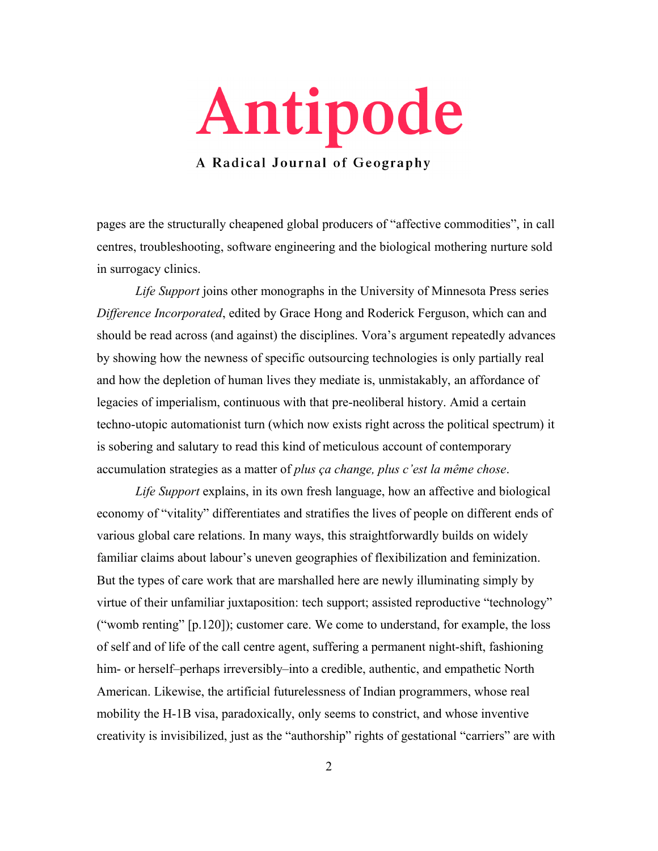

pages are the structurally cheapened global producers of "affective commodities", in call centres, troubleshooting, software engineering and the biological mothering nurture sold in surrogacy clinics.

*Life Support* joins other monographs in the University of Minnesota Press series *Difference Incorporated*, edited by Grace Hong and Roderick Ferguson, which can and should be read across (and against) the disciplines. Vora's argument repeatedly advances by showing how the newness of specific outsourcing technologies is only partially real and how the depletion of human lives they mediate is, unmistakably, an affordance of legacies of imperialism, continuous with that pre-neoliberal history. Amid a certain techno-utopic automationist turn (which now exists right across the political spectrum) it is sobering and salutary to read this kind of meticulous account of contemporary accumulation strategies as a matter of *plus ça change, plus c'est la même chose*.

*Life Support* explains, in its own fresh language, how an affective and biological economy of "vitality" differentiates and stratifies the lives of people on different ends of various global care relations. In many ways, this straightforwardly builds on widely familiar claims about labour's uneven geographies of flexibilization and feminization. But the types of care work that are marshalled here are newly illuminating simply by virtue of their unfamiliar juxtaposition: tech support; assisted reproductive "technology" ("womb renting" [p.120]); customer care. We come to understand, for example, the loss of self and of life of the call centre agent, suffering a permanent night-shift, fashioning him- or herself–perhaps irreversibly–into a credible, authentic, and empathetic North American. Likewise, the artificial futurelessness of Indian programmers, whose real mobility the H-1B visa, paradoxically, only seems to constrict, and whose inventive creativity is invisibilized, just as the "authorship" rights of gestational "carriers" are with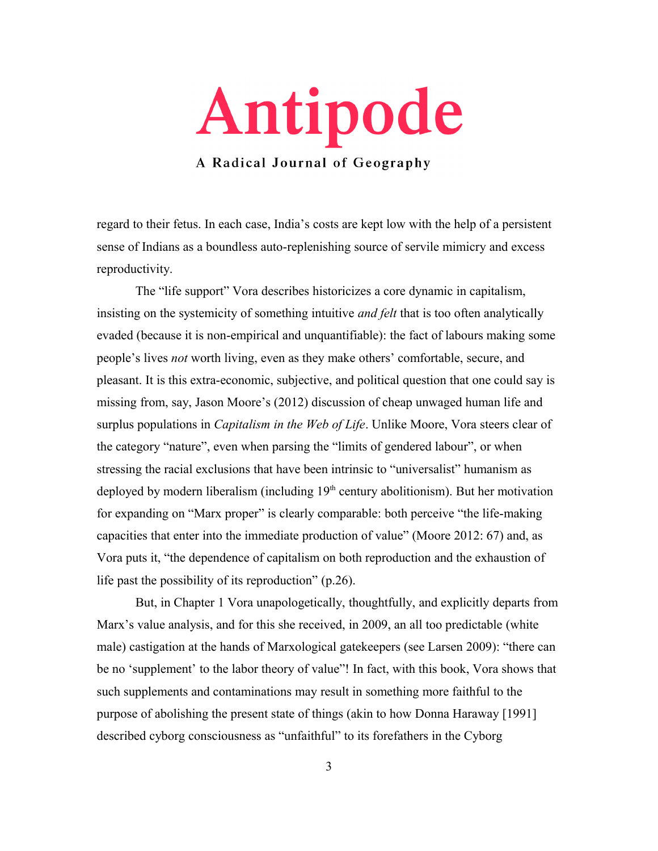

regard to their fetus. In each case, India's costs are kept low with the help of a persistent sense of Indians as a boundless auto-replenishing source of servile mimicry and excess reproductivity.

The "life support" Vora describes historicizes a core dynamic in capitalism, insisting on the systemicity of something intuitive *and felt* that is too often analytically evaded (because it is non-empirical and unquantifiable): the fact of labours making some people's lives *not* worth living, even as they make others' comfortable, secure, and pleasant. It is this extra-economic, subjective, and political question that one could say is missing from, say, Jason Moore's (2012) discussion of cheap unwaged human life and surplus populations in *Capitalism in the Web of Life*. Unlike Moore, Vora steers clear of the category "nature", even when parsing the "limits of gendered labour", or when stressing the racial exclusions that have been intrinsic to "universalist" humanism as deployed by modern liberalism (including  $19<sup>th</sup>$  century abolitionism). But her motivation for expanding on "Marx proper" is clearly comparable: both perceive "the life-making capacities that enter into the immediate production of value" (Moore 2012: 67) and, as Vora puts it, "the dependence of capitalism on both reproduction and the exhaustion of life past the possibility of its reproduction" (p.26).

But, in Chapter 1 Vora unapologetically, thoughtfully, and explicitly departs from Marx's value analysis, and for this she received, in 2009, an all too predictable (white male) castigation at the hands of Marxological gatekeepers (see Larsen 2009): "there can be no 'supplement' to the labor theory of value"! In fact, with this book, Vora shows that such supplements and contaminations may result in something more faithful to the purpose of abolishing the present state of things (akin to how Donna Haraway [1991] described cyborg consciousness as "unfaithful" to its forefathers in the Cyborg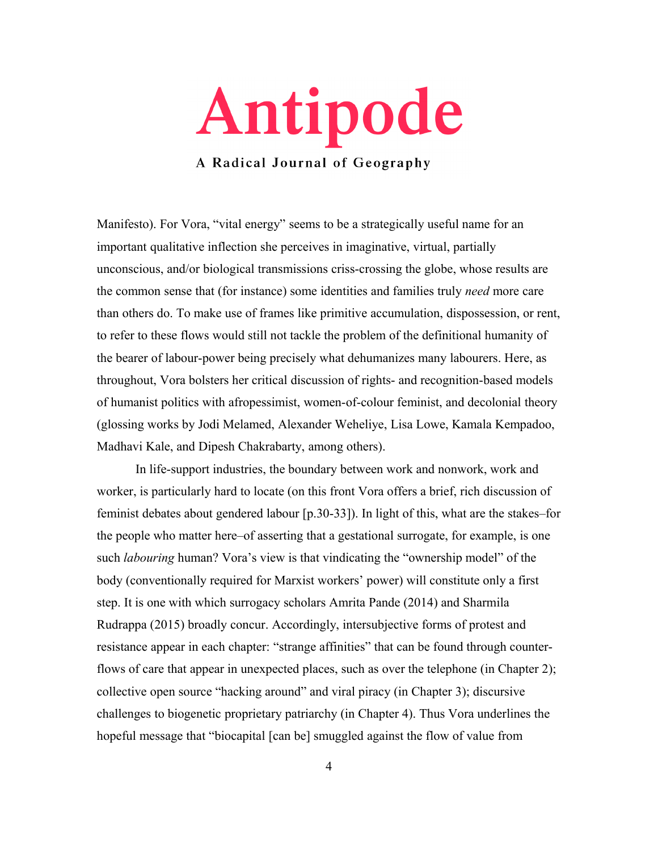

Manifesto). For Vora, "vital energy" seems to be a strategically useful name for an important qualitative inflection she perceives in imaginative, virtual, partially unconscious, and/or biological transmissions criss-crossing the globe, whose results are the common sense that (for instance) some identities and families truly *need* more care than others do. To make use of frames like primitive accumulation, dispossession, or rent, to refer to these flows would still not tackle the problem of the definitional humanity of the bearer of labour-power being precisely what dehumanizes many labourers. Here, as throughout, Vora bolsters her critical discussion of rights- and recognition-based models of humanist politics with afropessimist, women-of-colour feminist, and decolonial theory (glossing works by Jodi Melamed, Alexander Weheliye, Lisa Lowe, Kamala Kempadoo, Madhavi Kale, and Dipesh Chakrabarty, among others).

In life-support industries, the boundary between work and nonwork, work and worker, is particularly hard to locate (on this front Vora offers a brief, rich discussion of feminist debates about gendered labour [p.30-33]). In light of this, what are the stakes–for the people who matter here–of asserting that a gestational surrogate, for example, is one such *labouring* human? Vora's view is that vindicating the "ownership model" of the body (conventionally required for Marxist workers' power) will constitute only a first step. It is one with which surrogacy scholars Amrita Pande (2014) and Sharmila Rudrappa (2015) broadly concur. Accordingly, intersubjective forms of protest and resistance appear in each chapter: "strange affinities" that can be found through counterflows of care that appear in unexpected places, such as over the telephone (in Chapter 2); collective open source "hacking around" and viral piracy (in Chapter 3); discursive challenges to biogenetic proprietary patriarchy (in Chapter 4). Thus Vora underlines the hopeful message that "biocapital [can be] smuggled against the flow of value from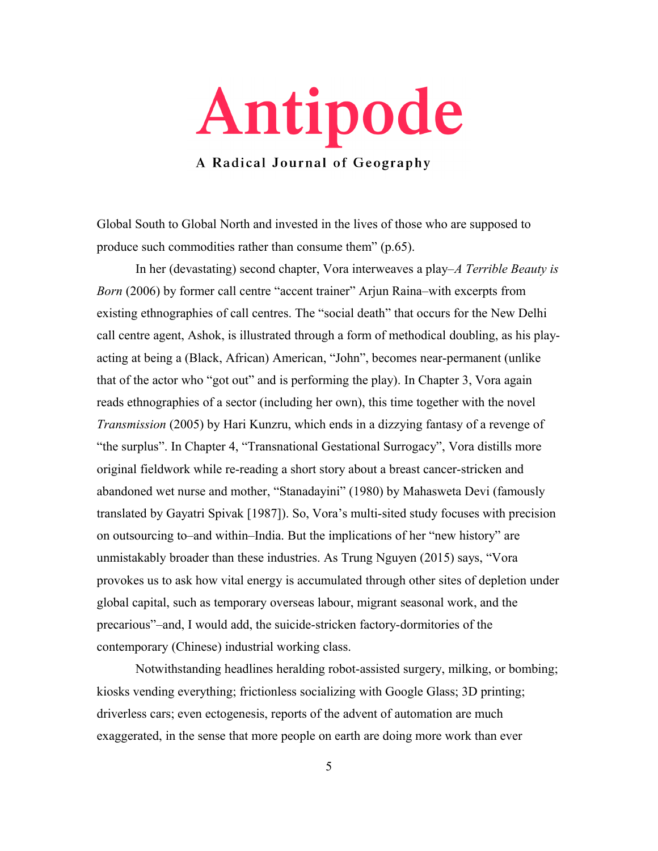

Global South to Global North and invested in the lives of those who are supposed to produce such commodities rather than consume them" (p.65).

In her (devastating) second chapter, Vora interweaves a play–*A Terrible Beauty is Born* (2006) by former call centre "accent trainer" Arjun Raina–with excerpts from existing ethnographies of call centres. The "social death" that occurs for the New Delhi call centre agent, Ashok, is illustrated through a form of methodical doubling, as his playacting at being a (Black, African) American, "John", becomes near-permanent (unlike that of the actor who "got out" and is performing the play). In Chapter 3, Vora again reads ethnographies of a sector (including her own), this time together with the novel *Transmission* (2005) by Hari Kunzru, which ends in a dizzying fantasy of a revenge of "the surplus". In Chapter 4, "Transnational Gestational Surrogacy", Vora distills more original fieldwork while re-reading a short story about a breast cancer-stricken and abandoned wet nurse and mother, "Stanadayini" (1980) by Mahasweta Devi (famously translated by Gayatri Spivak [1987]). So, Vora's multi-sited study focuses with precision on outsourcing to–and within–India. But the implications of her "new history" are unmistakably broader than these industries. As Trung Nguyen (2015) says, "Vora provokes us to ask how vital energy is accumulated through other sites of depletion under global capital, such as temporary overseas labour, migrant seasonal work, and the precarious"–and, I would add, the suicide-stricken factory-dormitories of the contemporary (Chinese) industrial working class.

Notwithstanding headlines heralding robot-assisted surgery, milking, or bombing; kiosks vending everything; frictionless socializing with Google Glass; 3D printing; driverless cars; even ectogenesis, reports of the advent of automation are much exaggerated, in the sense that more people on earth are doing more work than ever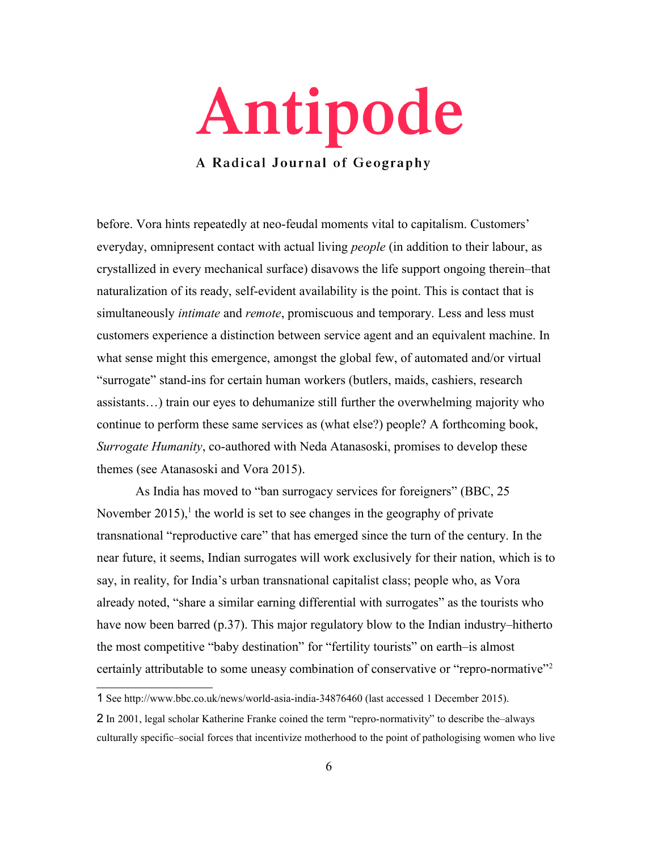

before. Vora hints repeatedly at neo-feudal moments vital to capitalism. Customers' everyday, omnipresent contact with actual living *people* (in addition to their labour, as crystallized in every mechanical surface) disavows the life support ongoing therein–that naturalization of its ready, self-evident availability is the point. This is contact that is simultaneously *intimate* and *remote*, promiscuous and temporary. Less and less must customers experience a distinction between service agent and an equivalent machine. In what sense might this emergence, amongst the global few, of automated and/or virtual "surrogate" stand-ins for certain human workers (butlers, maids, cashiers, research assistants…) train our eyes to dehumanize still further the overwhelming majority who continue to perform these same services as (what else?) people? A forthcoming book, *Surrogate Humanity*, co-authored with Neda Atanasoski, promises to develop these themes (see Atanasoski and Vora 2015).

As India has moved to "ban surrogacy services for foreigners" (BBC, 25 November  $2015$  $2015$  $2015$ ,<sup>1</sup> the world is set to see changes in the geography of private transnational "reproductive care" that has emerged since the turn of the century. In the near future, it seems, Indian surrogates will work exclusively for their nation, which is to say, in reality, for India's urban transnational capitalist class; people who, as Vora already noted, "share a similar earning differential with surrogates" as the tourists who have now been barred (p.37). This major regulatory blow to the Indian industry–hitherto the most competitive "baby destination" for "fertility tourists" on earth–is almost certainly attributable to some uneasy combination of conservative or "repro-normative"[2](#page-5-1)

<span id="page-5-0"></span><sup>1</sup> See http://www.bbc.co.uk/news/world-asia-india-34876460 (last accessed 1 December 2015).

<span id="page-5-1"></span><sup>2</sup> In 2001, legal scholar Katherine Franke coined the term "repro-normativity" to describe the–always culturally specific–social forces that incentivize motherhood to the point of pathologising women who live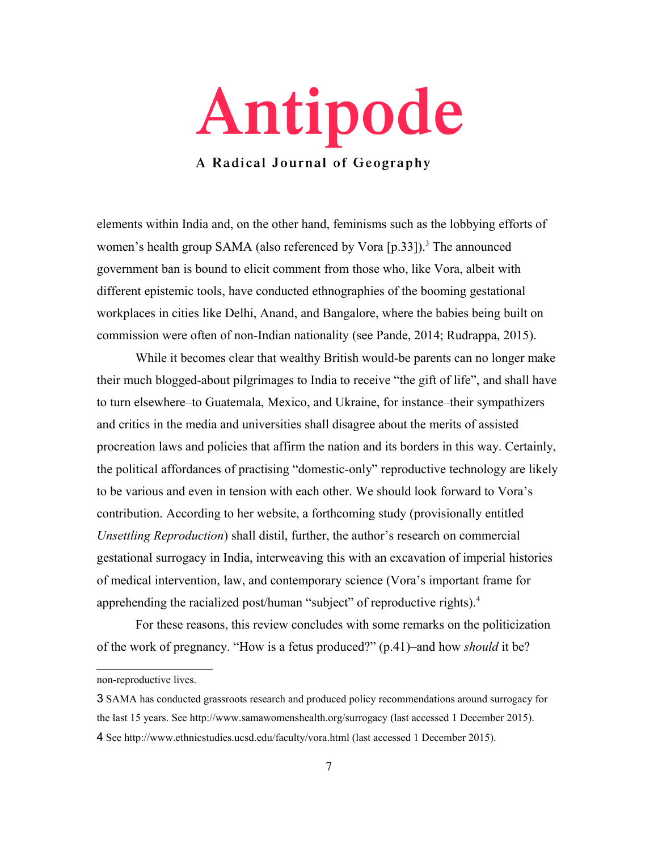

elements within India and, on the other hand, feminisms such as the lobbying efforts of women's health group SAMA (also referenced by Vora  $[p.33]$  $[p.33]$  $[p.33]$ ).<sup>3</sup> The announced government ban is bound to elicit comment from those who, like Vora, albeit with different epistemic tools, have conducted ethnographies of the booming gestational workplaces in cities like Delhi, Anand, and Bangalore, where the babies being built on commission were often of non-Indian nationality (see Pande, 2014; Rudrappa, 2015).

While it becomes clear that wealthy British would-be parents can no longer make their much blogged-about pilgrimages to India to receive "the gift of life", and shall have to turn elsewhere–to Guatemala, Mexico, and Ukraine, for instance–their sympathizers and critics in the media and universities shall disagree about the merits of assisted procreation laws and policies that affirm the nation and its borders in this way. Certainly, the political affordances of practising "domestic-only" reproductive technology are likely to be various and even in tension with each other. We should look forward to Vora's contribution. According to her website, a forthcoming study (provisionally entitled *Unsettling Reproduction*) shall distil, further, the author's research on commercial gestational surrogacy in India, interweaving this with an excavation of imperial histories of medical intervention, law, and contemporary science (Vora's important frame for apprehending the racialized post/human "subject" of reproductive rights).<sup>[4](#page-6-1)</sup>

For these reasons, this review concludes with some remarks on the politicization of the work of pregnancy. "How is a fetus produced?" (p.41)–and how *should* it be?

non-reproductive lives.

<span id="page-6-1"></span><span id="page-6-0"></span><sup>3</sup> SAMA has conducted grassroots research and produced policy recommendations around surrogacy for the last 15 years. See http://www.samawomenshealth.org/surrogacy (last accessed 1 December 2015). 4 See http://www.ethnicstudies.ucsd.edu/faculty/vora.html (last accessed 1 December 2015).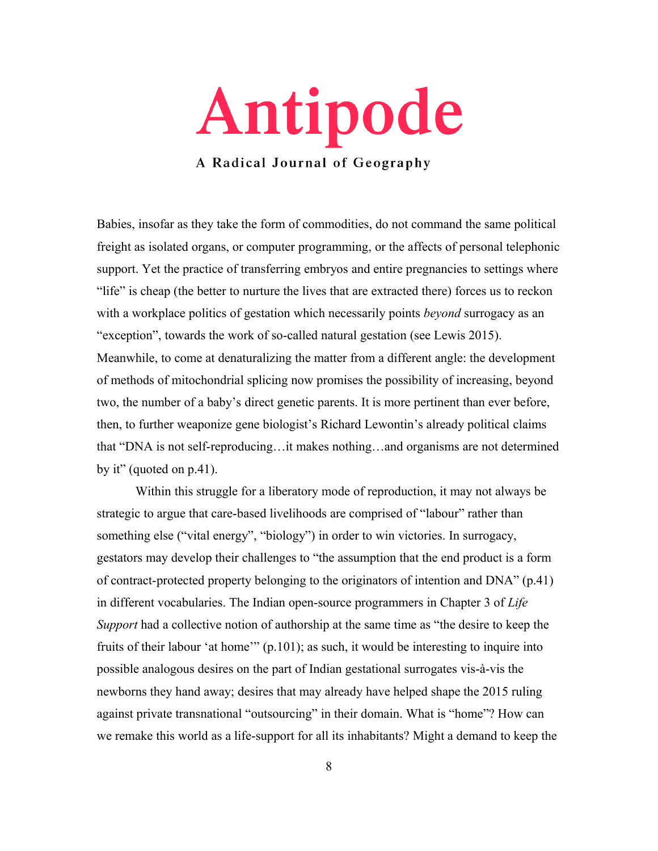

Babies, insofar as they take the form of commodities, do not command the same political freight as isolated organs, or computer programming, or the affects of personal telephonic support. Yet the practice of transferring embryos and entire pregnancies to settings where "life" is cheap (the better to nurture the lives that are extracted there) forces us to reckon with a workplace politics of gestation which necessarily points *beyond* surrogacy as an "exception", towards the work of so-called natural gestation (see Lewis 2015). Meanwhile, to come at denaturalizing the matter from a different angle: the development of methods of mitochondrial splicing now promises the possibility of increasing, beyond two, the number of a baby's direct genetic parents. It is more pertinent than ever before, then, to further weaponize gene biologist's Richard Lewontin's already political claims that "DNA is not self-reproducing…it makes nothing…and organisms are not determined by it" (quoted on  $p.41$ ).

Within this struggle for a liberatory mode of reproduction, it may not always be strategic to argue that care-based livelihoods are comprised of "labour" rather than something else ("vital energy", "biology") in order to win victories. In surrogacy, gestators may develop their challenges to "the assumption that the end product is a form of contract-protected property belonging to the originators of intention and DNA" (p.41) in different vocabularies. The Indian open-source programmers in Chapter 3 of *Life Support* had a collective notion of authorship at the same time as "the desire to keep the fruits of their labour 'at home'" (p.101); as such, it would be interesting to inquire into possible analogous desires on the part of Indian gestational surrogates vis-à-vis the newborns they hand away; desires that may already have helped shape the 2015 ruling against private transnational "outsourcing" in their domain. What is "home"? How can we remake this world as a life-support for all its inhabitants? Might a demand to keep the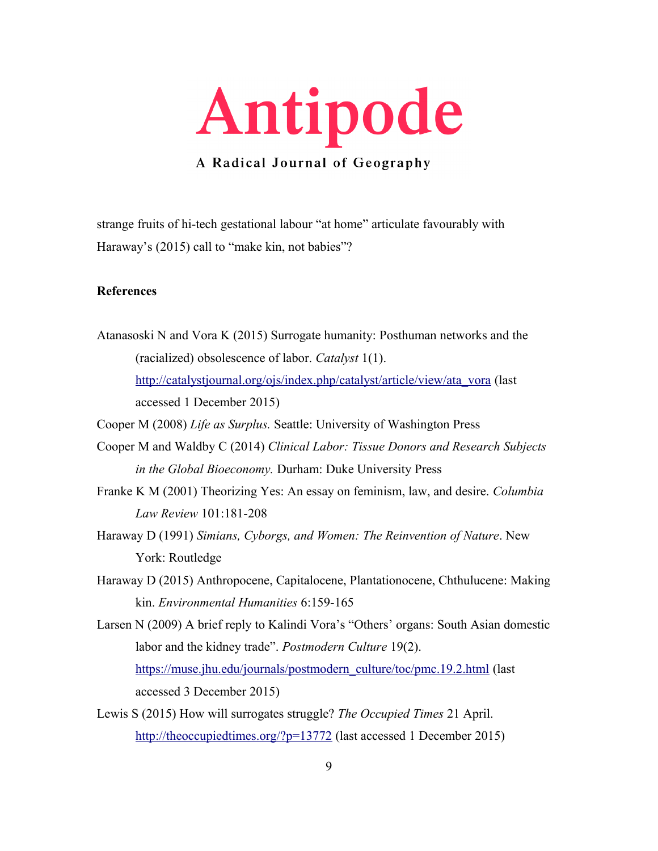

strange fruits of hi-tech gestational labour "at home" articulate favourably with Haraway's (2015) call to "make kin, not babies"?

## **References**

Atanasoski N and Vora K (2015) Surrogate humanity: Posthuman networks and the (racialized) obsolescence of labor. *Catalyst* 1(1). [http://catalystjournal.org/ojs/index.php/catalyst/article/view/ata\\_vora](http://catalystjournal.org/ojs/index.php/catalyst/article/view/ata_vora) (last accessed 1 December 2015)

Cooper M (2008) *Life as Surplus.* Seattle: University of Washington Press

- Cooper M and Waldby C (2014) *Clinical Labor: Tissue Donors and Research Subjects in the Global Bioeconomy.* Durham: Duke University Press
- Franke K M (2001) Theorizing Yes: An essay on feminism, law, and desire. *Columbia Law Review* 101:181-208
- Haraway D (1991) *Simians, Cyborgs, and Women: The Reinvention of Nature*. New York: Routledge
- Haraway D (2015) Anthropocene, Capitalocene, Plantationocene, Chthulucene: Making kin. *Environmental Humanities* 6:159-165
- Larsen N (2009) A brief reply to Kalindi Vora's "Others' organs: South Asian domestic labor and the kidney trade". *Postmodern Culture* 19(2). [https://muse.jhu.edu/journals/postmodern\\_culture/toc/pmc.19.2.html](https://muse.jhu.edu/journals/postmodern_culture/toc/pmc.19.2.html) (last) accessed 3 December 2015)
- Lewis S (2015) How will surrogates struggle? *The Occupied Times* 21 April. <http://theoccupiedtimes.org/?p=13772>(last accessed 1 December 2015)